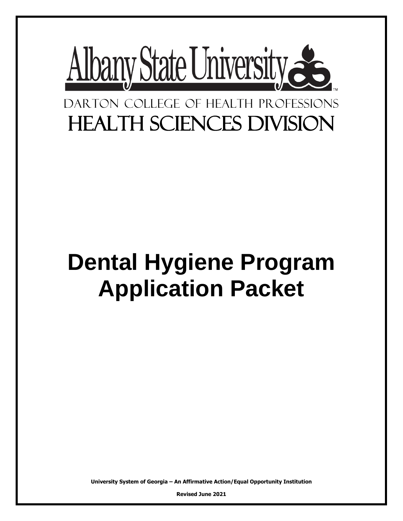

# DARTON COLLEGE OF HEALTH PROFESSIONS Health Sciences Division

# **Dental Hygiene Program Application Packet**

**University System of Georgia – An Affirmative Action/Equal Opportunity Institution**

**Revised June 2021**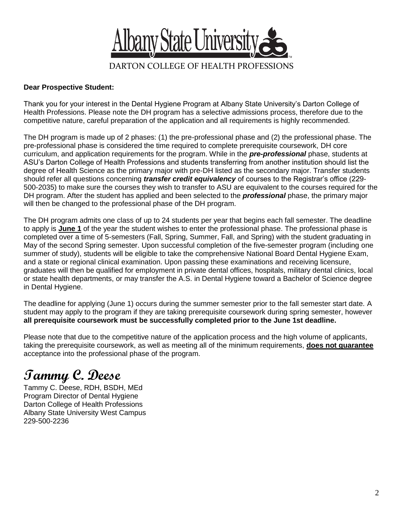

#### **Dear Prospective Student:**

Thank you for your interest in the Dental Hygiene Program at Albany State University's Darton College of Health Professions. Please note the DH program has a selective admissions process, therefore due to the competitive nature, careful preparation of the application and all requirements is highly recommended.

The DH program is made up of 2 phases: (1) the pre-professional phase and (2) the professional phase. The pre-professional phase is considered the time required to complete prerequisite coursework, DH core curriculum, and application requirements for the program. While in the *pre-professional* phase, students at ASU's Darton College of Health Professions and students transferring from another institution should list the degree of Health Science as the primary major with pre-DH listed as the secondary major. Transfer students should refer all questions concerning *transfer credit equivalency* of courses to the Registrar's office (229- 500-2035) to make sure the courses they wish to transfer to ASU are equivalent to the courses required for the DH program. After the student has applied and been selected to the *professional* phase, the primary major will then be changed to the professional phase of the DH program.

The DH program admits one class of up to 24 students per year that begins each fall semester. The deadline to apply is **June 1** of the year the student wishes to enter the professional phase. The professional phase is completed over a time of 5-semesters (Fall, Spring, Summer, Fall, and Spring) with the student graduating in May of the second Spring semester. Upon successful completion of the five-semester program (including one summer of study), students will be eligible to take the comprehensive National Board Dental Hygiene Exam, and a state or regional clinical examination. Upon passing these examinations and receiving licensure, graduates will then be qualified for employment in private dental offices, hospitals, military dental clinics, local or state health departments, or may transfer the A.S. in Dental Hygiene toward a Bachelor of Science degree in Dental Hygiene.

The deadline for applying (June 1) occurs during the summer semester prior to the fall semester start date. A student may apply to the program if they are taking prerequisite coursework during spring semester, however **all prerequisite coursework must be successfully completed prior to the June 1st deadline.**

Please note that due to the competitive nature of the application process and the high volume of applicants, taking the prerequisite coursework, as well as meeting all of the minimum requirements, **does not guarantee** acceptance into the professional phase of the program.

### **Tammy C. Deese**

Tammy C. Deese, RDH, BSDH, MEd Program Director of Dental Hygiene Darton College of Health Professions Albany State University West Campus 229-500-2236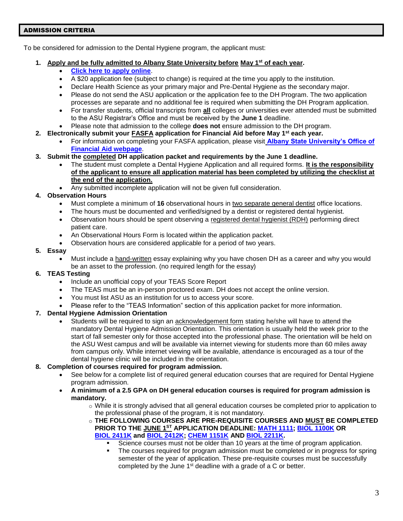#### ADMISSION CRITERIA

To be considered for admission to the Dental Hygiene program, the applicant must:

#### **1. Apply and be fully admitted to Albany State University before May 1st of each year.**

- **[Click here to apply online](https://gafutures.xap.com/applications/usg/usg_common_2019/apply.html?application_id=2871)**.
- A \$20 application fee (subject to change) is required at the time you apply to the institution.
- Declare Health Science as your primary major and Pre-Dental Hygiene as the secondary major.
- Please do not send the ASU application or the application fee to the DH Program. The two application processes are separate and no additional fee is required when submitting the DH Program application.
- For transfer students, official transcripts from **all** colleges or universities ever attended must be submitted to the ASU Registrar's Office and must be received by the **June 1** deadline.
- Please note that admission to the college **does not** ensure admission to the DH program.
- **2. Electronically submit your FASFA application for Financial Aid before May 1 st each year.**
	- For information on completing your FASFA application, please visit **[Albany State University's Office of](https://www.asurams.edu/enrollment-management/financial-aid/index.php)  [Financial Aid webpage](https://www.asurams.edu/enrollment-management/financial-aid/index.php)**.
- **3. Submit the completed DH application packet and requirements by the June 1 deadline.**
	- The student must complete a Dental Hygiene Application and all required forms. **It is the responsibility of the applicant to ensure all application material has been completed by utilizing the checklist at the end of the application.**
	- Any submitted incomplete application will not be given full consideration.

#### **4. Observation Hours**

- Must complete a minimum of **16** observational hours in two separate general dentist office locations.
- The hours must be documented and verified/signed by a dentist or registered dental hygienist.
- Observation hours should be spent observing a registered dental hygienist (RDH) performing direct patient care.
- An Observational Hours Form is located within the application packet.
- Observation hours are considered applicable for a period of two years.

#### **5. Essay**

 Must include a hand-written essay explaining why you have chosen DH as a career and why you would be an asset to the profession. (no required length for the essay)

#### **6. TEAS Testing**

- Include an unofficial copy of your TEAS Score Report
- The TEAS must be an in-person proctored exam. DH does not accept the online version.
- You must list ASU as an institution for us to access your score.
- Please refer to the "TEAS Information" section of this application packet for more information.

#### **7. Dental Hygiene Admission Orientation**

 Students will be required to sign an acknowledgement form stating he/she will have to attend the mandatory Dental Hygiene Admission Orientation. This orientation is usually held the week prior to the start of fall semester only for those accepted into the professional phase. The orientation will be held on the ASU West campus and will be available via internet viewing for students more than 60 miles away from campus only. While internet viewing will be available, attendance is encouraged as a tour of the dental hygiene clinic will be included in the orientation.

#### **8. Completion of courses required for program admission.**

- See below for a complete list of required general education courses that are required for Dental Hygiene program admission.
- **A minimum of a 2.5 GPA on DH general education courses is required for program admission is mandatory.**
	- o While it is strongly advised that all general education courses be completed prior to application to the professional phase of the program, it is not mandatory.
	- o **THE FOLLOWING COURSES ARE PRE-REQUISITE COURSES AND MUST BE COMPLETED PRIOR TO THE JUNE 1ST APPLICATION DEADLINE: [MATH](https://catalog.asurams.edu/search/?P=MATH%201111) 1111; BIOL [1100K](https://catalog.asurams.edu/search/?P=BIOL%201100K) OR BIOL [2411K](https://catalog.asurams.edu/search/?P=BIOL%202411K) and BIOL [2412K;](https://catalog.asurams.edu/search/?P=BIOL%202412K) [CHEM](https://catalog.asurams.edu/search/?P=CHEM%201151K) 1151K AND BIOL [2211K.](https://catalog.asurams.edu/search/?P=BIOL%202211K)**
		- Science courses must not be older than 10 years at the time of program application.
		- The courses required for program admission must be completed *or* in progress for spring semester of the year of application. These pre-requisite courses must be successfully completed by the June  $1<sup>st</sup>$  deadline with a grade of a C or better.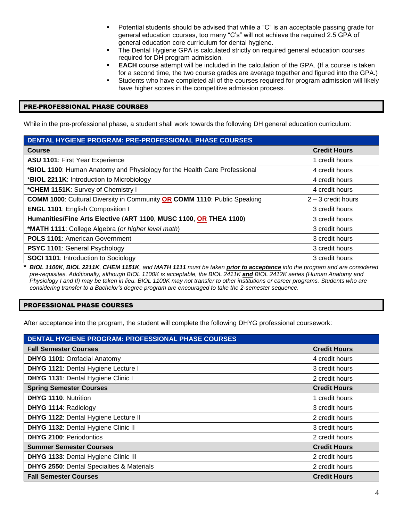- Potential students should be advised that while a "C" is an acceptable passing grade for general education courses, too many "C's" will not achieve the required 2.5 GPA of general education core curriculum for dental hygiene.
- The Dental Hygiene GPA is calculated strictly on required general education courses required for DH program admission.
- **EACH** course attempt will be included in the calculation of the GPA. (If a course is taken for a second time, the two course grades are average together and figured into the GPA.)
- Students who have completed all of the courses required for program admission will likely have higher scores in the competitive admission process.

#### PRE-PROFESSIONAL PHASE COURSES

While in the pre-professional phase, a student shall work towards the following DH general education curriculum:

| <b>DENTAL HYGIENE PROGRAM: PRE-PROFESSIONAL PHASE COURSES</b>                   |                      |  |
|---------------------------------------------------------------------------------|----------------------|--|
| <b>Course</b>                                                                   | <b>Credit Hours</b>  |  |
| <b>ASU 1101: First Year Experience</b>                                          | 1 credit hours       |  |
| *BIOL 1100: Human Anatomy and Physiology for the Health Care Professional       | 4 credit hours       |  |
| *BIOL 2211K: Introduction to Microbiology                                       | 4 credit hours       |  |
| *CHEM 1151K: Survey of Chemistry I                                              | 4 credit hours       |  |
| <b>COMM 1000:</b> Cultural Diversity in Community OR COMM 1110: Public Speaking | $2 - 3$ credit hours |  |
| <b>ENGL 1101: English Composition I</b>                                         | 3 credit hours       |  |
| Humanities/Fine Arts Elective (ART 1100, MUSC 1100, OR THEA 1100)               | 3 credit hours       |  |
| *MATH 1111: College Algebra (or higher level math)                              | 3 credit hours       |  |
| <b>POLS 1101: American Government</b>                                           | 3 credit hours       |  |
| <b>PSYC 1101: General Psychology</b>                                            | 3 credit hours       |  |
| <b>SOCI 1101: Introduction to Sociology</b>                                     | 3 credit hours       |  |

**\*** *BIOL 1100K, BIOL 2211K, CHEM 1151K, and MATH 1111 must be taken prior to acceptance into the program and are considered pre-requisites. Additionally, although BIOL 1100K is acceptable, the BIOL 2411K and BIOL 2412K series (Human Anatomy and Physiology I and II) may be taken in lieu. BIOL 1100K may not transfer to other institutions or career programs. Students who are considering transfer to a Bachelor's degree program are encouraged to take the 2-semester sequence.*

#### PROFESSIONAL PHASE COURSES

After acceptance into the program, the student will complete the following DHYG professional coursework:

| DENTAL HYGIENE PROGRAM: PROFESSIONAL PHASE COURSES   |                     |  |
|------------------------------------------------------|---------------------|--|
| <b>Fall Semester Courses</b>                         | <b>Credit Hours</b> |  |
| <b>DHYG 1101: Orofacial Anatomy</b>                  | 4 credit hours      |  |
| DHYG 1121: Dental Hygiene Lecture I                  | 3 credit hours      |  |
| DHYG 1131: Dental Hygiene Clinic I                   | 2 credit hours      |  |
| <b>Spring Semester Courses</b>                       | <b>Credit Hours</b> |  |
| <b>DHYG 1110: Nutrition</b>                          | 1 credit hours      |  |
| DHYG 1114: Radiology                                 | 3 credit hours      |  |
| DHYG 1122: Dental Hygiene Lecture II                 | 2 credit hours      |  |
| DHYG 1132: Dental Hygiene Clinic II                  | 3 credit hours      |  |
| <b>DHYG 2100: Periodontics</b>                       | 2 credit hours      |  |
| <b>Summer Semester Courses</b>                       | <b>Credit Hours</b> |  |
| DHYG 1133: Dental Hygiene Clinic III                 | 2 credit hours      |  |
| <b>DHYG 2550: Dental Specialties &amp; Materials</b> | 2 credit hours      |  |
| <b>Fall Semester Courses</b>                         | <b>Credit Hours</b> |  |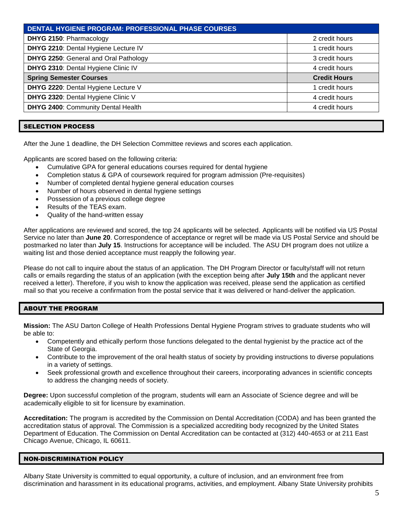| <b>DENTAL HYGIENE PROGRAM: PROFESSIONAL PHASE COURSES</b> |                     |  |
|-----------------------------------------------------------|---------------------|--|
| DHYG 2150: Pharmacology                                   | 2 credit hours      |  |
| DHYG 2210: Dental Hygiene Lecture IV                      | 1 credit hours      |  |
| DHYG 2250: General and Oral Pathology                     | 3 credit hours      |  |
| DHYG 2310: Dental Hygiene Clinic IV                       | 4 credit hours      |  |
| <b>Spring Semester Courses</b>                            | <b>Credit Hours</b> |  |
| DHYG 2220: Dental Hygiene Lecture V                       | 1 credit hours      |  |
| DHYG 2320: Dental Hygiene Clinic V                        | 4 credit hours      |  |
| DHYG 2400: Community Dental Health                        | 4 credit hours      |  |

#### SELECTION PROCESS

After the June 1 deadline, the DH Selection Committee reviews and scores each application.

Applicants are scored based on the following criteria:

- Cumulative GPA for general educations courses required for dental hygiene
- Completion status & GPA of coursework required for program admission (Pre-requisites)
- Number of completed dental hygiene general education courses
- Number of hours observed in dental hygiene settings
- Possession of a previous college degree
- Results of the TEAS exam.
- Quality of the hand-written essay

After applications are reviewed and scored, the top 24 applicants will be selected. Applicants will be notified via US Postal Service no later than **June 20**. Correspondence of acceptance or regret will be made via US Postal Service and should be postmarked no later than **July 15**. Instructions for acceptance will be included. The ASU DH program does not utilize a waiting list and those denied acceptance must reapply the following year.

Please do not call to inquire about the status of an application. The DH Program Director or faculty/staff will not return calls or emails regarding the status of an application (with the exception being after **July 15th** and the applicant never received a letter). Therefore, if you wish to know the application was received, please send the application as certified mail so that you receive a confirmation from the postal service that it was delivered or hand-deliver the application.

#### ABOUT THE PROGRAM

**Mission:** The ASU Darton College of Health Professions Dental Hygiene Program strives to graduate students who will be able to:

- Competently and ethically perform those functions delegated to the dental hygienist by the practice act of the State of Georgia.
- Contribute to the improvement of the oral health status of society by providing instructions to diverse populations in a variety of settings.
- Seek professional growth and excellence throughout their careers, incorporating advances in scientific concepts to address the changing needs of society.

**Degree:** Upon successful completion of the program, students will earn an Associate of Science degree and will be academically eligible to sit for licensure by examination.

**Accreditation:** The program is accredited by the Commission on Dental Accreditation (CODA) and has been granted the accreditation status of approval. The Commission is a specialized accrediting body recognized by the United States Department of Education. The Commission on Dental Accreditation can be contacted at (312) 440-4653 or at 211 East Chicago Avenue, Chicago, IL 60611.

#### NON-DISCRIMINATION POLICY

Albany State University is committed to equal opportunity, a culture of inclusion, and an environment free from discrimination and harassment in its educational programs, activities, and employment. Albany State University prohibits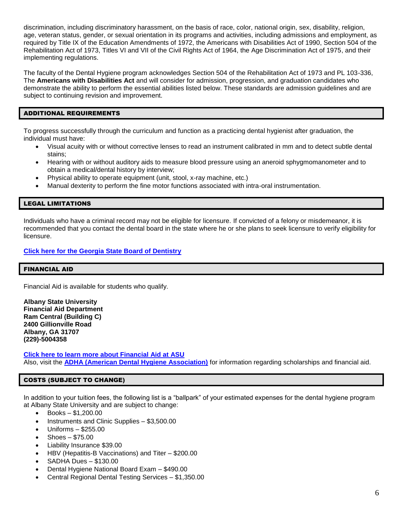discrimination, including discriminatory harassment, on the basis of race, color, national origin, sex, disability, religion, age, veteran status, gender, or sexual orientation in its programs and activities, including admissions and employment, as required by Title IX of the Education Amendments of 1972, the Americans with Disabilities Act of 1990, Section 504 of the Rehabilitation Act of 1973, Titles VI and VII of the Civil Rights Act of 1964, the Age Discrimination Act of 1975, and their implementing regulations.

The faculty of the Dental Hygiene program acknowledges Section 504 of the Rehabilitation Act of 1973 and PL 103-336, The **Americans with Disabilities Act** and will consider for admission, progression, and graduation candidates who demonstrate the ability to perform the essential abilities listed below. These standards are admission guidelines and are subject to continuing revision and improvement.

#### ADDITIONAL REQUIREMENTS

To progress successfully through the curriculum and function as a practicing dental hygienist after graduation, the individual must have:

- Visual acuity with or without corrective lenses to read an instrument calibrated in mm and to detect subtle dental stains;
- Hearing with or without auditory aids to measure blood pressure using an aneroid sphygmomanometer and to obtain a medical/dental history by interview;
- Physical ability to operate equipment (unit, stool, x-ray machine, etc.)
- Manual dexterity to perform the fine motor functions associated with intra-oral instrumentation.

#### LEGAL LIMITATIONS

Individuals who have a criminal record may not be eligible for licensure. If convicted of a felony or misdemeanor, it is recommended that you contact the dental board in the state where he or she plans to seek licensure to verify eligibility for licensure.

#### **[Click here for the Georgia State Board of Dentistry](https://gbd.georgia.gov/)**

#### FINANCIAL AID

Financial Aid is available for students who qualify.

**Albany State University Financial Aid Department Ram Central (Building C) 2400 Gillionville Road Albany, GA 31707 (229)-5004358**

**[Click here to learn more about Financial Aid at ASU](https://www.asurams.edu/enrollment-management/financial-aid/index.php)** Also, visit the **[ADHA \(American Dental Hygiene Association\)](https://www.adha.org/)** for information regarding scholarships and financial aid.

#### COSTS (SUBJECT TO CHANGE)

In addition to your tuition fees, the following list is a "ballpark" of your estimated expenses for the dental hygiene program at Albany State University and are subject to change:

- Books \$1,200.00
- Instruments and Clinic Supplies \$3,500.00
- Uniforms \$255.00
- Shoes \$75.00
- Liability Insurance \$39.00
- HBV (Hepatitis-B Vaccinations) and Titer \$200.00
- SADHA Dues \$130.00
- Dental Hygiene National Board Exam \$490.00
- Central Regional Dental Testing Services \$1,350.00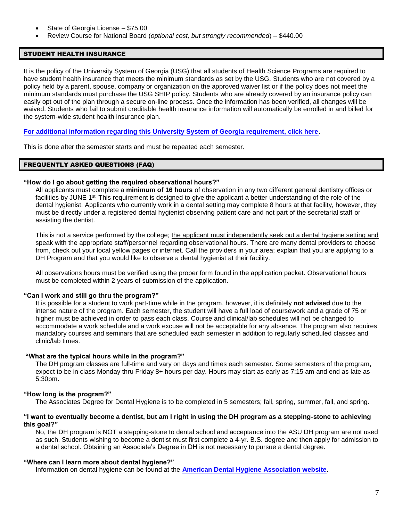- State of Georgia License \$75.00
- Review Course for National Board (*optional cost, but strongly recommended*) \$440.00

#### STUDENT HEALTH INSURANCE

It is the policy of the University System of Georgia (USG) that all students of Health Science Programs are required to have student health insurance that meets the minimum standards as set by the USG. Students who are not covered by a policy held by a parent, spouse, company or organization on the approved waiver list or if the policy does not meet the minimum standards must purchase the USG SHIP policy. Students who are already covered by an insurance policy can easily opt out of the plan through a secure on-line process. Once the information has been verified, all changes will be waived. Students who fail to submit creditable health insurance information will automatically be enrolled in and billed for the system-wide student health insurance plan.

#### **[For additional information regarding this University System of Georgia requirement, click here](https://www.asurams.edu/academic-affairs/dchealthprof/docs/OTA-Program-Application.pdf)**.

This is done after the semester starts and must be repeated each semester.

#### FREQUENTLY ASKED QUESTIONS (FAQ)

#### **"How do I go about getting the required observational hours?"**

All applicants must complete a **minimum of 16 hours** of observation in any two different general dentistry offices or facilities by JUNE 1<sup>st.</sup> This requirement is designed to give the applicant a better understanding of the role of the dental hygienist. Applicants who currently work in a dental setting may complete 8 hours at that facility, however, they must be directly under a registered dental hygienist observing patient care and not part of the secretarial staff or assisting the dentist.

This is not a service performed by the college; the applicant must independently seek out a dental hygiene setting and speak with the appropriate staff/personnel regarding observational hours. There are many dental providers to choose from, check out your local yellow pages or internet. Call the providers in your area; explain that you are applying to a DH Program and that you would like to observe a dental hygienist at their facility.

All observations hours must be verified using the proper form found in the application packet. Observational hours must be completed within 2 years of submission of the application.

#### **"Can I work and still go thru the program?"**

It is possible for a student to work part-time while in the program, however, it is definitely **not advised** due to the intense nature of the program. Each semester, the student will have a full load of coursework and a grade of 75 or higher must be achieved in order to pass each class. Course and clinical/lab schedules will not be changed to accommodate a work schedule and a work excuse will not be acceptable for any absence. The program also requires mandatory courses and seminars that are scheduled each semester in addition to regularly scheduled classes and clinic/lab times.

#### **"What are the typical hours while in the program?"**

The DH program classes are full-time and vary on days and times each semester. Some semesters of the program, expect to be in class Monday thru Friday 8+ hours per day. Hours may start as early as 7:15 am and end as late as 5:30pm.

#### **"How long is the program?"**

The Associates Degree for Dental Hygiene is to be completed in 5 semesters; fall, spring, summer, fall, and spring.

#### **"I want to eventually become a dentist, but am I right in using the DH program as a stepping-stone to achieving this goal?"**

No, the DH program is NOT a stepping-stone to dental school and acceptance into the ASU DH program are not used as such. Students wishing to become a dentist must first complete a 4-yr. B.S. degree and then apply for admission to a dental school. Obtaining an Associate's Degree in DH is not necessary to pursue a dental degree.

#### **"Where can I learn more about dental hygiene?"**

Information on dental hygiene can be found at the **[American Dental Hygiene Association website](https://www.adha.org/)**.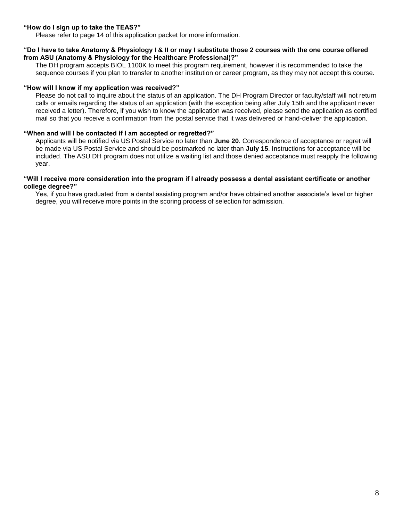#### **"How do I sign up to take the TEAS?"**

Please refer to page 14 of this application packet for more information.

#### **"Do I have to take Anatomy & Physiology I & II or may I substitute those 2 courses with the one course offered from ASU (Anatomy & Physiology for the Healthcare Professional)?"**

The DH program accepts BIOL 1100K to meet this program requirement, however it is recommended to take the sequence courses if you plan to transfer to another institution or career program, as they may not accept this course.

#### **"How will I know if my application was received?"**

Please do not call to inquire about the status of an application. The DH Program Director or faculty/staff will not return calls or emails regarding the status of an application (with the exception being after July 15th and the applicant never received a letter). Therefore, if you wish to know the application was received, please send the application as certified mail so that you receive a confirmation from the postal service that it was delivered or hand-deliver the application.

#### **"When and will I be contacted if I am accepted or regretted?"**

Applicants will be notified via US Postal Service no later than **June 20**. Correspondence of acceptance or regret will be made via US Postal Service and should be postmarked no later than **July 15**. Instructions for acceptance will be included. The ASU DH program does not utilize a waiting list and those denied acceptance must reapply the following year.

#### **"Will I receive more consideration into the program if I already possess a dental assistant certificate or another college degree?"**

Yes, if you have graduated from a dental assisting program and/or have obtained another associate's level or higher degree, you will receive more points in the scoring process of selection for admission.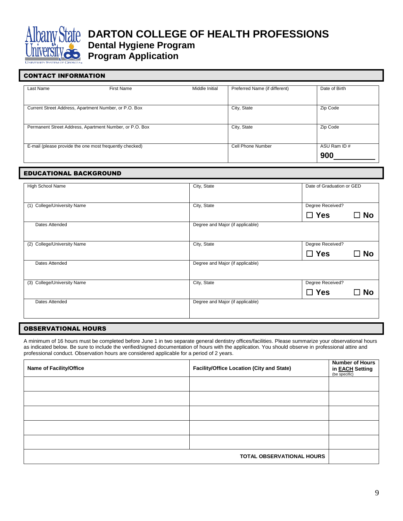

## CONTACT INFORMATION Last Name First Name First Name Middle Initial Preferred Name (if different) Date of Birth Current Street Address, Apartment Number, or P.O. Box City, State City, State Zip Code Permanent Street Address, Apartment Number, or P.O. Box City, State City, State Zip Code

E-mail (please provide the one most frequently checked) Cell Phone Number ASU Ram ID #

#### EDUCATIONAL BACKGROUND

| <b>High School Name</b>        | City, State                      | Date of Graduation or GED |
|--------------------------------|----------------------------------|---------------------------|
| College/University Name<br>(1) | City, State                      | Degree Received?          |
|                                |                                  | $\Box$ Yes<br>⊟ No        |
| Dates Attended                 | Degree and Major (if applicable) |                           |
| College/University Name<br>(2) | City, State                      | Degree Received?          |
|                                |                                  | $\Box$ Yes<br>⊟ No        |
| Dates Attended                 | Degree and Major (if applicable) |                           |
| College/University Name<br>(3) | City, State                      | Degree Received?          |
|                                |                                  | $\Box$ Yes<br>⊟ No        |
| Dates Attended                 | Degree and Major (if applicable) |                           |
|                                |                                  |                           |

#### OBSERVATIONAL HOURS

A minimum of 16 hours must be completed before June 1 in two separate general dentistry offices/facilities. Please summarize your observational hours as indicated below. Be sure to include the verified/signed documentation of hours with the application. You should observe in professional attire and professional conduct. Observation hours are considered applicable for a period of 2 years.

| <b>Name of Facility/Office</b> | Facility/Office Location (City and State) | <b>Number of Hours</b><br>in <b>EACH</b> Setting<br>(be specific) |
|--------------------------------|-------------------------------------------|-------------------------------------------------------------------|
|                                |                                           |                                                                   |
|                                |                                           |                                                                   |
|                                |                                           |                                                                   |
|                                |                                           |                                                                   |
|                                |                                           |                                                                   |
|                                | <b>TOTAL OBSERVATIONAL HOURS</b>          |                                                                   |

**900**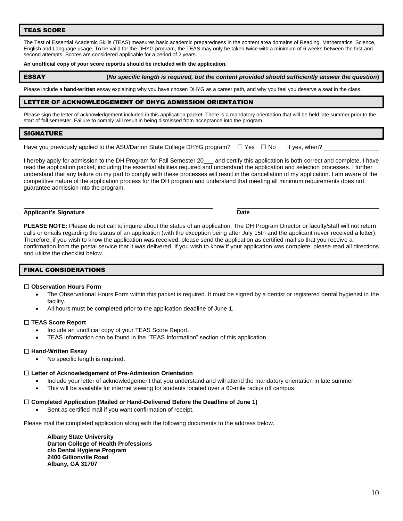#### TEAS SCORE

The Test of Essential Academic Skills (TEAS) measures basic academic preparedness in the content area domains of Reading, Mathematics, Science, English and Language usage. To be valid for the DHYG program, the TEAS may only be taken twice with a minimum of 6 weeks between the first and second attempts. Scores are considered applicable for a period of 2 years.

#### **An unofficial copy of your score report/s should be included with the application.**

ESSAY **(***No specific length is required, but the content provided should sufficiently answer the question***)**

Please include a **hand-written** essay explaining why you have chosen DHYG as a career path, and why you feel you deserve a seat in the class.

#### LETTER OF ACKNOWLEDGEMENT OF DHYG ADMISSION ORIENTATION

Please sign the letter of acknowledgement included in this application packet. There is a mandatory orientation that will be held late summer prior to the start of fall semester. Failure to comply will result in being dismissed from acceptance into the program.

#### SIGNATURE

Have you previously applied to the ASU/Darton State College DHYG program?  $\Box$  Yes  $\Box$  No If yes, when?

I hereby apply for admission to the DH Program for Fall Semester 20\_\_\_ and certify this application is both correct and complete. I have read the application packet, including the essential abilities required and understand the application and selection processes. I further understand that any failure on my part to comply with these processes will result in the cancellation of my application. I am aware of the competitive nature of the application process for the DH program and understand that meeting all minimum requirements does not guarantee admission into the program.

#### **Applicant's Signature Date**

**PLEASE NOTE:** Please do not call to inquire about the status of an application. The DH Program Director or faculty/staff will not return calls or emails regarding the status of an application (with the exception being after July 15th and the applicant never received a letter). Therefore, if you wish to know the application was received, please send the application as certified mail so that you receive a confirmation from the postal service that it was delivered. If you wish to know if your application was complete, please read all directions and utilize the checklist below.

#### FINAL CONSIDERATIONS

#### ☐ **Observation Hours Form**

- The Observational Hours Form within this packet is required. It must be signed by a dentist or registered dental hygienist in the facility.
- All hours must be completed prior to the application deadline of June 1.

#### ☐ **TEAS Score Report**

- Include an unofficial copy of your TEAS Score Report.
- TEAS information can be found in the "TEAS Information" section of this application.

#### ☐ **Hand-Written Essay**

No specific length is required.

#### ☐ **Letter of Acknowledgement of Pre-Admission Orientation**

- Include your letter of acknowledgement that you understand and will attend the mandatory orientation in late summer.
- This will be available for internet viewing for students located over a 60-mile radius off campus.

#### ☐ **Completed Application (Mailed or Hand-Delivered Before the Deadline of June 1)**

Sent as certified mail if you want confirmation of receipt.

Please mail the completed application along with the following documents to the address below.

**Albany State University Darton College of Health Professions c/o Dental Hygiene Program 2400 Gillionville Road Albany, GA 31707**

10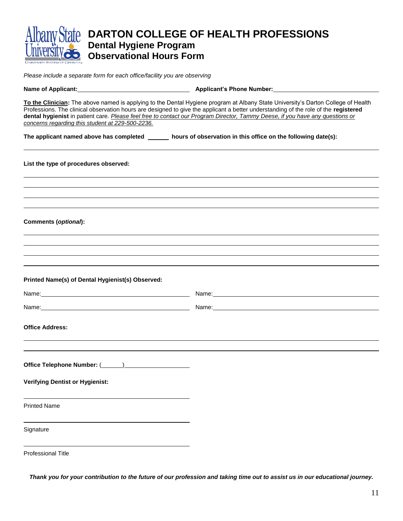| <b>Dental Hygiene Program</b><br><b>Observational Hours Form</b>                                             | <b>DARTON COLLEGE OF HEALTH PROFESSIONS</b>                                                                                                                                                                                                                                                                                                                                                               |
|--------------------------------------------------------------------------------------------------------------|-----------------------------------------------------------------------------------------------------------------------------------------------------------------------------------------------------------------------------------------------------------------------------------------------------------------------------------------------------------------------------------------------------------|
|                                                                                                              |                                                                                                                                                                                                                                                                                                                                                                                                           |
| Please include a separate form for each office/facility you are observing                                    |                                                                                                                                                                                                                                                                                                                                                                                                           |
| Name of Applicant: <b>Applicant of Applicant Applicant</b> Applicant's Phone Number:                         |                                                                                                                                                                                                                                                                                                                                                                                                           |
| concerns regarding this student at 229-500-2236.                                                             | To the Clinician: The above named is applying to the Dental Hygiene program at Albany State University's Darton College of Health<br>Professions. The clinical observation hours are designed to give the applicant a better understanding of the role of the registered<br>dental hygienist in patient care. Please feel free to contact our Program Director, Tammy Deese, if you have any questions or |
| The applicant named above has completed ______ hours of observation in this office on the following date(s): |                                                                                                                                                                                                                                                                                                                                                                                                           |
| List the type of procedures observed:                                                                        |                                                                                                                                                                                                                                                                                                                                                                                                           |
|                                                                                                              |                                                                                                                                                                                                                                                                                                                                                                                                           |
|                                                                                                              |                                                                                                                                                                                                                                                                                                                                                                                                           |
|                                                                                                              |                                                                                                                                                                                                                                                                                                                                                                                                           |
| Comments (optional):                                                                                         |                                                                                                                                                                                                                                                                                                                                                                                                           |
|                                                                                                              |                                                                                                                                                                                                                                                                                                                                                                                                           |
|                                                                                                              |                                                                                                                                                                                                                                                                                                                                                                                                           |
|                                                                                                              |                                                                                                                                                                                                                                                                                                                                                                                                           |
| Printed Name(s) of Dental Hygienist(s) Observed:                                                             |                                                                                                                                                                                                                                                                                                                                                                                                           |
| Name:                                                                                                        | Name:                                                                                                                                                                                                                                                                                                                                                                                                     |
| Name:                                                                                                        | Name:                                                                                                                                                                                                                                                                                                                                                                                                     |
|                                                                                                              |                                                                                                                                                                                                                                                                                                                                                                                                           |
| <b>Office Address:</b>                                                                                       |                                                                                                                                                                                                                                                                                                                                                                                                           |
|                                                                                                              |                                                                                                                                                                                                                                                                                                                                                                                                           |
|                                                                                                              |                                                                                                                                                                                                                                                                                                                                                                                                           |
| <b>Verifying Dentist or Hygienist:</b>                                                                       |                                                                                                                                                                                                                                                                                                                                                                                                           |
| <b>Printed Name</b>                                                                                          |                                                                                                                                                                                                                                                                                                                                                                                                           |
| Signature                                                                                                    |                                                                                                                                                                                                                                                                                                                                                                                                           |
| <b>Professional Title</b>                                                                                    |                                                                                                                                                                                                                                                                                                                                                                                                           |

*Thank you for your contribution to the future of our profession and taking time out to assist us in our educational journey.*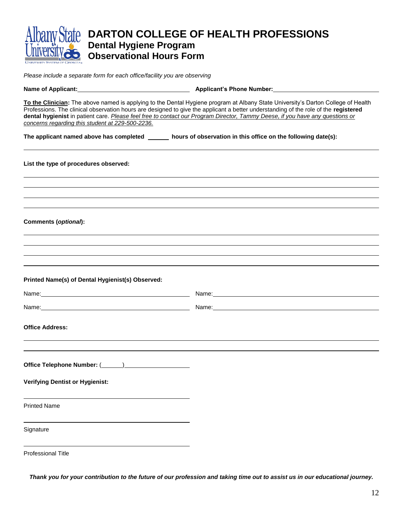|                                                                                                                                                                                                                                | DARTON COLLEGE OF HEALTH PROFESSIONS                                                                                                                                                                                                                                                                                                                                                                      |
|--------------------------------------------------------------------------------------------------------------------------------------------------------------------------------------------------------------------------------|-----------------------------------------------------------------------------------------------------------------------------------------------------------------------------------------------------------------------------------------------------------------------------------------------------------------------------------------------------------------------------------------------------------|
| <b>Dental Hygiene Program</b>                                                                                                                                                                                                  |                                                                                                                                                                                                                                                                                                                                                                                                           |
| <b>Observational Hours Form</b>                                                                                                                                                                                                |                                                                                                                                                                                                                                                                                                                                                                                                           |
| Please include a separate form for each office/facility you are observing                                                                                                                                                      |                                                                                                                                                                                                                                                                                                                                                                                                           |
| Name of Applicant: Name of Applicant Control of Applicant Control of Applicant Control of Applicant Control of Applicant Control of Applicant Control of Applicant Control of Applicant Control of Applicant Control of Applic |                                                                                                                                                                                                                                                                                                                                                                                                           |
| concerns regarding this student at 229-500-2236.                                                                                                                                                                               | To the Clinician: The above named is applying to the Dental Hygiene program at Albany State University's Darton College of Health<br>Professions. The clinical observation hours are designed to give the applicant a better understanding of the role of the registered<br>dental hygienist in patient care. Please feel free to contact our Program Director, Tammy Deese, if you have any questions or |
| The applicant named above has completed ______ hours of observation in this office on the following date(s):                                                                                                                   |                                                                                                                                                                                                                                                                                                                                                                                                           |
| List the type of procedures observed:                                                                                                                                                                                          |                                                                                                                                                                                                                                                                                                                                                                                                           |
|                                                                                                                                                                                                                                |                                                                                                                                                                                                                                                                                                                                                                                                           |
|                                                                                                                                                                                                                                |                                                                                                                                                                                                                                                                                                                                                                                                           |
|                                                                                                                                                                                                                                |                                                                                                                                                                                                                                                                                                                                                                                                           |
| Comments (optional):                                                                                                                                                                                                           |                                                                                                                                                                                                                                                                                                                                                                                                           |
|                                                                                                                                                                                                                                |                                                                                                                                                                                                                                                                                                                                                                                                           |
|                                                                                                                                                                                                                                |                                                                                                                                                                                                                                                                                                                                                                                                           |
|                                                                                                                                                                                                                                |                                                                                                                                                                                                                                                                                                                                                                                                           |
| Printed Name(s) of Dental Hygienist(s) Observed:                                                                                                                                                                               |                                                                                                                                                                                                                                                                                                                                                                                                           |
| Name:                                                                                                                                                                                                                          | Name:                                                                                                                                                                                                                                                                                                                                                                                                     |
| Name:                                                                                                                                                                                                                          | Name:                                                                                                                                                                                                                                                                                                                                                                                                     |
| <b>Office Address:</b>                                                                                                                                                                                                         |                                                                                                                                                                                                                                                                                                                                                                                                           |
|                                                                                                                                                                                                                                |                                                                                                                                                                                                                                                                                                                                                                                                           |
|                                                                                                                                                                                                                                |                                                                                                                                                                                                                                                                                                                                                                                                           |
| <b>Verifying Dentist or Hygienist:</b>                                                                                                                                                                                         |                                                                                                                                                                                                                                                                                                                                                                                                           |
| <b>Printed Name</b>                                                                                                                                                                                                            |                                                                                                                                                                                                                                                                                                                                                                                                           |
| Signature                                                                                                                                                                                                                      |                                                                                                                                                                                                                                                                                                                                                                                                           |
| Professional Title                                                                                                                                                                                                             |                                                                                                                                                                                                                                                                                                                                                                                                           |

*Thank you for your contribution to the future of our profession and taking time out to assist us in our educational journey.*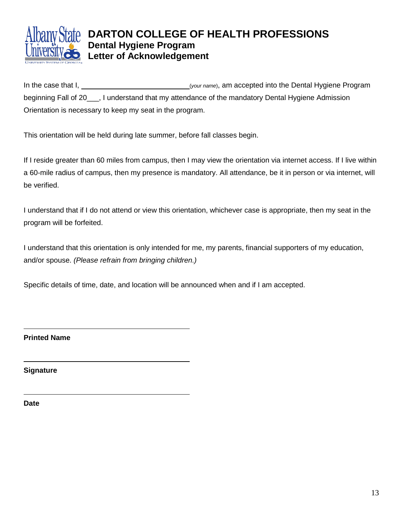

### **DARTON COLLEGE OF HEALTH PROFESSIONS Dental Hygiene Program Letter of Acknowledgement**

In the case that I, (*your name*), am accepted into the Dental Hygiene Program beginning Fall of 20\_\_\_, I understand that my attendance of the mandatory Dental Hygiene Admission Orientation is necessary to keep my seat in the program.

This orientation will be held during late summer, before fall classes begin.

If I reside greater than 60 miles from campus, then I may view the orientation via internet access. If I live within a 60-mile radius of campus, then my presence is mandatory. All attendance, be it in person or via internet, will be verified.

I understand that if I do not attend or view this orientation, whichever case is appropriate, then my seat in the program will be forfeited.

I understand that this orientation is only intended for me, my parents, financial supporters of my education, and/or spouse. *(Please refrain from bringing children.)*

Specific details of time, date, and location will be announced when and if I am accepted.

**Printed Name**

**Signature**

**Date**